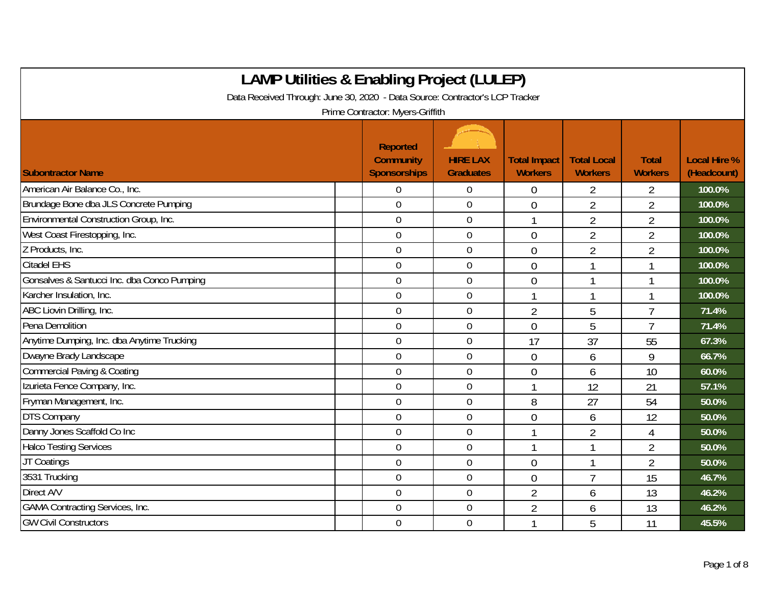| <b>LAMP Utilities &amp; Enabling Project (LULEP)</b>                         |                                                            |                                     |                                       |                                      |                                |                                    |  |  |  |  |
|------------------------------------------------------------------------------|------------------------------------------------------------|-------------------------------------|---------------------------------------|--------------------------------------|--------------------------------|------------------------------------|--|--|--|--|
| Data Received Through: June 30, 2020 - Data Source: Contractor's LCP Tracker |                                                            |                                     |                                       |                                      |                                |                                    |  |  |  |  |
|                                                                              | Prime Contractor: Myers-Griffith                           |                                     |                                       |                                      |                                |                                    |  |  |  |  |
| <b>Subontractor Name</b>                                                     | <b>Reported</b><br><b>Community</b><br><b>Sponsorships</b> | <b>HIRE LAX</b><br><b>Graduates</b> | <b>Total Impact</b><br><b>Workers</b> | <b>Total Local</b><br><b>Workers</b> | <b>Total</b><br><b>Workers</b> | <b>Local Hire %</b><br>(Headcount) |  |  |  |  |
| American Air Balance Co., Inc.                                               | $\overline{0}$                                             | $\theta$                            | $\overline{0}$                        | $\overline{2}$                       | $\overline{2}$                 | 100.0%                             |  |  |  |  |
| Brundage Bone dba JLS Concrete Pumping                                       | $\overline{0}$                                             | $\mathbf 0$                         | $\overline{0}$                        | $\overline{2}$                       | $\overline{2}$                 | 100.0%                             |  |  |  |  |
| Environmental Construction Group, Inc.                                       | $\mathbf 0$                                                | $\mathbf 0$                         | $\mathbf{1}$                          | $\overline{2}$                       | $\overline{2}$                 | 100.0%                             |  |  |  |  |
| West Coast Firestopping, Inc.                                                | $\mathbf 0$                                                | $\mathbf 0$                         | $\overline{0}$                        | $\overline{2}$                       | $\overline{2}$                 | 100.0%                             |  |  |  |  |
| Z Products, Inc.                                                             | $\mathbf 0$                                                | $\mathbf 0$                         | $\overline{0}$                        | $\overline{2}$                       | $\overline{2}$                 | 100.0%                             |  |  |  |  |
| <b>Citadel EHS</b>                                                           | $\mathbf 0$                                                | $\boldsymbol{0}$                    | $\overline{0}$                        |                                      | 1                              | 100.0%                             |  |  |  |  |
| Gonsalves & Santucci Inc. dba Conco Pumping                                  | $\mathbf 0$                                                | $\mathbf 0$                         | $\overline{0}$                        |                                      | 1                              | 100.0%                             |  |  |  |  |
| Karcher Insulation, Inc.                                                     | $\overline{0}$                                             | $\theta$                            |                                       |                                      | 1                              | 100.0%                             |  |  |  |  |
| ABC Liovin Drilling, Inc.                                                    | $\overline{0}$                                             | $\overline{0}$                      | $\overline{2}$                        | 5                                    | $\overline{1}$                 | 71.4%                              |  |  |  |  |
| Pena Demolition                                                              | $\overline{0}$                                             | $\overline{0}$                      | $\Omega$                              | 5                                    | $\overline{1}$                 | 71.4%                              |  |  |  |  |
| Anytime Dumping, Inc. dba Anytime Trucking                                   | $\mathbf 0$                                                | $\overline{0}$                      | 17                                    | 37                                   | 55                             | 67.3%                              |  |  |  |  |
| Dwayne Brady Landscape                                                       | $\mathbf 0$                                                | $\overline{0}$                      | $\overline{0}$                        | 6                                    | 9                              | 66.7%                              |  |  |  |  |
| <b>Commercial Paving &amp; Coating</b>                                       | $\overline{0}$                                             | $\mathbf 0$                         | $\overline{0}$                        | 6                                    | 10                             | 60.0%                              |  |  |  |  |
| Izurieta Fence Company, Inc.                                                 | $\overline{0}$                                             | $\mathbf 0$                         |                                       | 12                                   | 21                             | 57.1%                              |  |  |  |  |
| Fryman Management, Inc.                                                      | $\overline{0}$                                             | $\mathbf 0$                         | 8                                     | 27                                   | 54                             | 50.0%                              |  |  |  |  |
| <b>DTS Company</b>                                                           | $\mathbf 0$                                                | $\mathbf 0$                         | $\overline{0}$                        | 6                                    | 12                             | 50.0%                              |  |  |  |  |
| Danny Jones Scaffold Co Inc                                                  | $\mathbf 0$                                                | $\mathbf 0$                         | $\mathbf{1}$                          | $\overline{2}$                       | $\overline{4}$                 | 50.0%                              |  |  |  |  |
| <b>Halco Testing Services</b>                                                | $\mathbf 0$                                                | $\mathbf 0$                         |                                       |                                      | $\overline{2}$                 | 50.0%                              |  |  |  |  |
| JT Coatings                                                                  | $\mathbf 0$                                                | $\mathbf 0$                         | $\overline{0}$                        |                                      | $\overline{2}$                 | 50.0%                              |  |  |  |  |
| 3531 Trucking                                                                | $\overline{0}$                                             | $\mathbf 0$                         | $\overline{0}$                        | $\overline{7}$                       | 15                             | 46.7%                              |  |  |  |  |
| Direct A/V                                                                   | $\overline{0}$                                             | $\mathbf 0$                         | $\overline{2}$                        | 6                                    | 13                             | 46.2%                              |  |  |  |  |
| <b>GAMA Contracting Services, Inc.</b>                                       | $\overline{0}$                                             | $\mathbf 0$                         | $\overline{2}$                        | 6                                    | 13                             | 46.2%                              |  |  |  |  |
| <b>GW Civil Constructors</b>                                                 | $\overline{0}$                                             | $\overline{0}$                      | 1                                     | 5                                    | 11                             | 45.5%                              |  |  |  |  |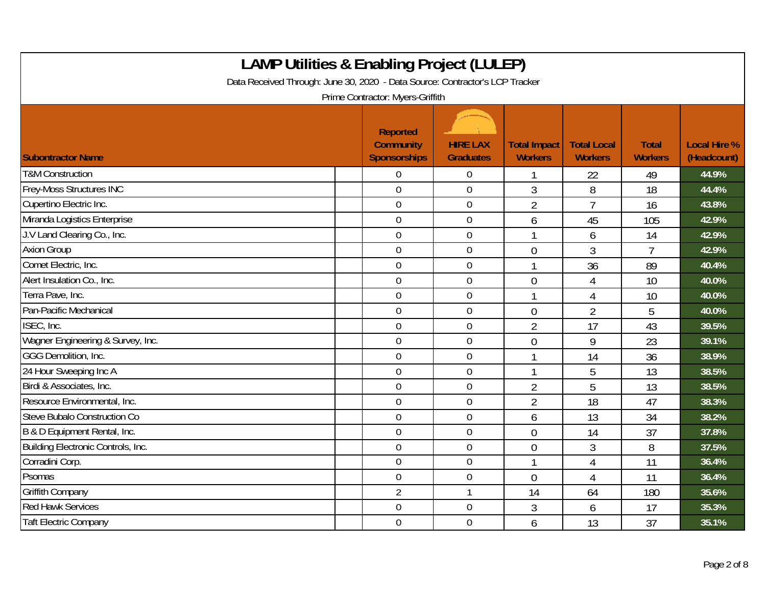| <b>LAMP Utilities &amp; Enabling Project (LULEP)</b><br>Data Received Through: June 30, 2020 - Data Source: Contractor's LCP Tracker<br>Prime Contractor: Myers-Griffith |  |                                                     |                                     |                                       |                                      |                                |                                    |  |  |
|--------------------------------------------------------------------------------------------------------------------------------------------------------------------------|--|-----------------------------------------------------|-------------------------------------|---------------------------------------|--------------------------------------|--------------------------------|------------------------------------|--|--|
| <b>Subontractor Name</b>                                                                                                                                                 |  | Reported<br><b>Community</b><br><b>Sponsorships</b> | <b>HIRE LAX</b><br><b>Graduates</b> | <b>Total Impact</b><br><b>Workers</b> | <b>Total Local</b><br><b>Workers</b> | <b>Total</b><br><b>Workers</b> | <b>Local Hire %</b><br>(Headcount) |  |  |
| <b>T&amp;M Construction</b>                                                                                                                                              |  | $\overline{0}$                                      | $\overline{0}$                      |                                       | 22                                   | 49                             | 44.9%                              |  |  |
| <b>Frey-Moss Structures INC</b>                                                                                                                                          |  | $\mathbf 0$                                         | $\mathbf 0$                         | 3                                     | 8                                    | 18                             | 44.4%                              |  |  |
| Cupertino Electric Inc.                                                                                                                                                  |  | $\mathbf 0$                                         | $\boldsymbol{0}$                    | $\overline{2}$                        | $\overline{7}$                       | 16                             | 43.8%                              |  |  |
| Miranda Logistics Enterprise                                                                                                                                             |  | $\mathbf 0$                                         | $\mathbf 0$                         | 6                                     | 45                                   | 105                            | 42.9%                              |  |  |
| J.V Land Clearing Co., Inc.                                                                                                                                              |  | $\overline{0}$                                      | $\mathbf 0$                         |                                       | 6                                    | 14                             | 42.9%                              |  |  |
| <b>Axion Group</b>                                                                                                                                                       |  | $\overline{0}$                                      | $\boldsymbol{0}$                    | $\overline{0}$                        | 3                                    | $\overline{7}$                 | 42.9%                              |  |  |
| Comet Electric, Inc.                                                                                                                                                     |  | $\mathbf 0$                                         | $\mathbf 0$                         |                                       | 36                                   | 89                             | 40.4%                              |  |  |
| Alert Insulation Co., Inc.                                                                                                                                               |  | $\mathbf 0$                                         | $\boldsymbol{0}$                    | $\overline{0}$                        | 4                                    | 10                             | 40.0%                              |  |  |
| Terra Pave, Inc.                                                                                                                                                         |  | $\mathbf 0$                                         | $\pmb{0}$                           |                                       | 4                                    | 10                             | 40.0%                              |  |  |
| Pan-Pacific Mechanical                                                                                                                                                   |  | $\overline{0}$                                      | $\mathbf 0$                         | $\overline{0}$                        | $\overline{2}$                       | 5                              | 40.0%                              |  |  |
| ISEC, Inc.                                                                                                                                                               |  | $\overline{0}$                                      | $\boldsymbol{0}$                    | $\overline{2}$                        | 17                                   | 43                             | 39.5%                              |  |  |
| Wagner Engineering & Survey, Inc.                                                                                                                                        |  | $\mathbf 0$                                         | $\boldsymbol{0}$                    | $\overline{0}$                        | 9                                    | 23                             | 39.1%                              |  |  |
| GGG Demolition, Inc.                                                                                                                                                     |  | $\overline{0}$                                      | $\mathbf 0$                         |                                       | 14                                   | 36                             | 38.9%                              |  |  |
| 24 Hour Sweeping Inc A                                                                                                                                                   |  | $\mathbf 0$                                         | $\overline{0}$                      |                                       | 5                                    | 13                             | 38.5%                              |  |  |
| Birdi & Associates, Inc.                                                                                                                                                 |  | $\mathbf 0$                                         | $\mathbf 0$                         | $\overline{2}$                        | 5                                    | 13                             | 38.5%                              |  |  |
| Resource Environmental, Inc.                                                                                                                                             |  | $\overline{0}$                                      | $\overline{0}$                      | $\overline{2}$                        | 18                                   | 47                             | 38.3%                              |  |  |
| Steve Bubalo Construction Co                                                                                                                                             |  | $\mathbf 0$                                         | $\boldsymbol{0}$                    | 6                                     | 13                                   | 34                             | 38.2%                              |  |  |
| B & D Equipment Rental, Inc.                                                                                                                                             |  | $\overline{0}$                                      | $\mathbf 0$                         | $\theta$                              | 14                                   | 37                             | 37.8%                              |  |  |
| Building Electronic Controls, Inc.                                                                                                                                       |  | $\overline{0}$                                      | $\mathbf 0$                         | $\theta$                              | 3                                    | 8                              | 37.5%                              |  |  |
| Corradini Corp.                                                                                                                                                          |  | $\mathbf 0$                                         | $\boldsymbol{0}$                    |                                       | 4                                    | 11                             | 36.4%                              |  |  |
| Psomas                                                                                                                                                                   |  | $\mathbf 0$                                         | $\mathbf 0$                         | $\overline{0}$                        | 4                                    | 11                             | 36.4%                              |  |  |
| <b>Griffith Company</b>                                                                                                                                                  |  | $\overline{2}$                                      | $\mathbf{1}$                        | 14                                    | 64                                   | 180                            | 35.6%                              |  |  |
| <b>Red Hawk Services</b>                                                                                                                                                 |  | $\mathbf 0$                                         | $\boldsymbol{0}$                    | 3                                     | 6                                    | 17                             | 35.3%                              |  |  |
| <b>Taft Electric Company</b>                                                                                                                                             |  | $\mathbf 0$                                         | $\mathbf 0$                         | 6                                     | 13                                   | 37                             | 35.1%                              |  |  |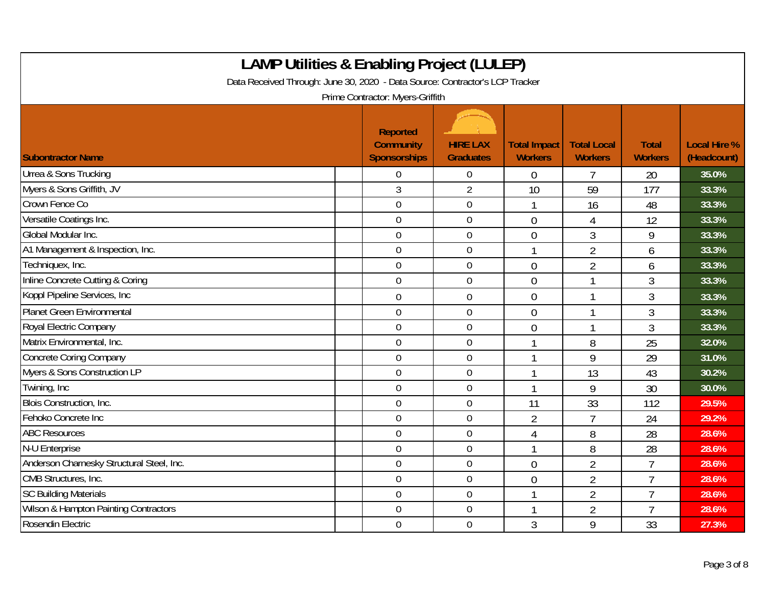| <b>LAMP Utilities &amp; Enabling Project (LULEP)</b><br>Data Received Through: June 30, 2020 - Data Source: Contractor's LCP Tracker<br>Prime Contractor: Myers-Griffith |                                                            |                                     |                                       |                                      |                                |                                    |  |  |  |
|--------------------------------------------------------------------------------------------------------------------------------------------------------------------------|------------------------------------------------------------|-------------------------------------|---------------------------------------|--------------------------------------|--------------------------------|------------------------------------|--|--|--|
| <b>Subontractor Name</b>                                                                                                                                                 | <b>Reported</b><br><b>Community</b><br><b>Sponsorships</b> | <b>HIRE LAX</b><br><b>Graduates</b> | <b>Total Impact</b><br><b>Workers</b> | <b>Total Local</b><br><b>Workers</b> | <b>Total</b><br><b>Workers</b> | <b>Local Hire %</b><br>(Headcount) |  |  |  |
| Urrea & Sons Trucking                                                                                                                                                    | 0                                                          | $\overline{0}$                      | $\Omega$                              | 7                                    | 20                             | 35.0%                              |  |  |  |
| Myers & Sons Griffith, JV                                                                                                                                                | 3                                                          | $\overline{2}$                      | 10                                    | 59                                   | 177                            | 33.3%                              |  |  |  |
| Crown Fence Co                                                                                                                                                           | $\overline{0}$                                             | $\overline{0}$                      |                                       | 16                                   | 48                             | 33.3%                              |  |  |  |
| Versatile Coatings Inc.                                                                                                                                                  | $\mathbf 0$                                                | $\boldsymbol{0}$                    | $\overline{0}$                        | 4                                    | 12                             | 33.3%                              |  |  |  |
| Global Modular Inc.                                                                                                                                                      | $\overline{0}$                                             | $\overline{0}$                      | $\overline{0}$                        | 3                                    | 9                              | 33.3%                              |  |  |  |
| A1 Management & Inspection, Inc.                                                                                                                                         | 0                                                          | $\overline{0}$                      |                                       | $\overline{2}$                       | 6                              | 33.3%                              |  |  |  |
| Techniquex, Inc.                                                                                                                                                         | 0                                                          | $\overline{0}$                      | $\theta$                              | $\overline{2}$                       | 6                              | 33.3%                              |  |  |  |
| Inline Concrete Cutting & Coring                                                                                                                                         | $\overline{0}$                                             | $\overline{0}$                      | $\overline{0}$                        | 1                                    | 3                              | 33.3%                              |  |  |  |
| Koppl Pipeline Services, Inc.                                                                                                                                            | 0                                                          | $\overline{0}$                      | $\theta$                              | 1                                    | 3                              | 33.3%                              |  |  |  |
| Planet Green Environmental                                                                                                                                               | $\mathbf 0$                                                | $\overline{0}$                      | $\overline{0}$                        | 1                                    | 3                              | 33.3%                              |  |  |  |
| Royal Electric Company                                                                                                                                                   | $\overline{0}$                                             | $\mathbf 0$                         | $\overline{0}$                        | 1                                    | 3                              | 33.3%                              |  |  |  |
| Matrix Environmental, Inc.                                                                                                                                               | 0                                                          | $\overline{0}$                      |                                       | 8                                    | 25                             | 32.0%                              |  |  |  |
| <b>Concrete Coring Company</b>                                                                                                                                           | $\mathbf 0$                                                | $\overline{0}$                      |                                       | 9                                    | 29                             | 31.0%                              |  |  |  |
| Myers & Sons Construction LP                                                                                                                                             | 0                                                          | $\overline{0}$                      |                                       | 13                                   | 43                             | 30.2%                              |  |  |  |
| Twining, Inc                                                                                                                                                             | 0                                                          | $\boldsymbol{0}$                    | 1                                     | 9                                    | 30                             | 30.0%                              |  |  |  |
| Blois Construction, Inc.                                                                                                                                                 | $\overline{0}$                                             | $\overline{0}$                      | 11                                    | 33                                   | 112                            | 29.5%                              |  |  |  |
| Fehoko Concrete Inc                                                                                                                                                      | $\overline{0}$                                             | $\mathbf 0$                         | $\overline{2}$                        | $\overline{7}$                       | 24                             | 29.2%                              |  |  |  |
| <b>ABC Resources</b>                                                                                                                                                     | 0                                                          | $\overline{0}$                      | $\overline{4}$                        | 8                                    | 28                             | 28.6%                              |  |  |  |
| N-U Enterprise                                                                                                                                                           | $\mathbf 0$                                                | $\overline{0}$                      | $\mathbf{1}$                          | 8                                    | 28                             | 28.6%                              |  |  |  |
| Anderson Charnesky Structural Steel, Inc.                                                                                                                                | 0                                                          | $\overline{0}$                      | $\theta$                              | $\overline{2}$                       | $\overline{7}$                 | 28.6%                              |  |  |  |
| CMB Structures, Inc.                                                                                                                                                     | $\mathbf 0$                                                | $\boldsymbol{0}$                    | $\overline{0}$                        | $\overline{2}$                       | $\overline{7}$                 | 28.6%                              |  |  |  |
| <b>SC Building Materials</b>                                                                                                                                             | $\mathbf 0$                                                | $\overline{0}$                      | $\mathbf 1$                           | $\overline{2}$                       | $\overline{7}$                 | 28.6%                              |  |  |  |
| Wilson & Hampton Painting Contractors                                                                                                                                    | 0                                                          | $\mathbf 0$                         |                                       | $\overline{2}$                       | $\overline{7}$                 | 28.6%                              |  |  |  |
| Rosendin Electric                                                                                                                                                        | 0                                                          | $\overline{0}$                      | 3                                     | 9                                    | 33                             | 27.3%                              |  |  |  |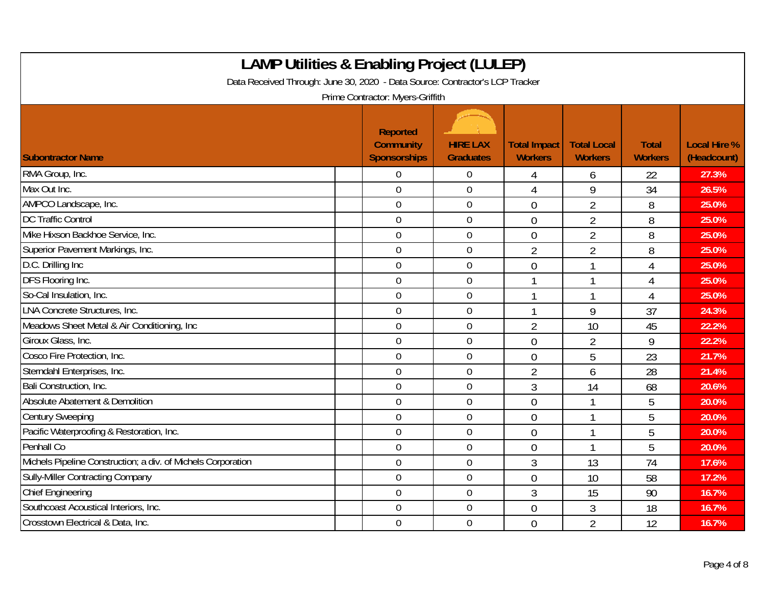| <b>LAMP Utilities &amp; Enabling Project (LULEP)</b><br>Data Received Through: June 30, 2020 - Data Source: Contractor's LCP Tracker<br>Prime Contractor: Myers-Griffith |                                                     |                                     |                                       |                                      |                                |                                    |  |  |  |
|--------------------------------------------------------------------------------------------------------------------------------------------------------------------------|-----------------------------------------------------|-------------------------------------|---------------------------------------|--------------------------------------|--------------------------------|------------------------------------|--|--|--|
| <b>Subontractor Name</b>                                                                                                                                                 | Reported<br><b>Community</b><br><b>Sponsorships</b> | <b>HIRE LAX</b><br><b>Graduates</b> | <b>Total Impact</b><br><b>Workers</b> | <b>Total Local</b><br><b>Workers</b> | <b>Total</b><br><b>Workers</b> | <b>Local Hire %</b><br>(Headcount) |  |  |  |
| RMA Group, Inc.                                                                                                                                                          | $\Omega$                                            | 0                                   | 4                                     | 6                                    | 22                             | 27.3%                              |  |  |  |
| Max Out Inc.                                                                                                                                                             | $\overline{0}$                                      | $\mathbf 0$                         | 4                                     | 9                                    | 34                             | 26.5%                              |  |  |  |
| AMPCO Landscape, Inc.                                                                                                                                                    | $\overline{0}$                                      | $\boldsymbol{0}$                    | $\overline{0}$                        | $\overline{2}$                       | 8                              | 25.0%                              |  |  |  |
| <b>DC Traffic Control</b>                                                                                                                                                | $\overline{0}$                                      | $\overline{0}$                      | $\overline{0}$                        | $\overline{2}$                       | 8                              | 25.0%                              |  |  |  |
| Mike Hixson Backhoe Service, Inc.                                                                                                                                        | $\overline{0}$                                      | $\mathbf 0$                         | $\overline{0}$                        | $\overline{2}$                       | 8                              | 25.0%                              |  |  |  |
| Superior Pavement Markings, Inc.                                                                                                                                         | $\overline{0}$                                      | $\boldsymbol{0}$                    | $\overline{2}$                        | $\overline{2}$                       | 8                              | 25.0%                              |  |  |  |
| D.C. Drilling Inc                                                                                                                                                        | $\overline{0}$                                      | $\overline{0}$                      | $\overline{0}$                        |                                      | 4                              | 25.0%                              |  |  |  |
| DFS Flooring Inc.                                                                                                                                                        | $\overline{0}$                                      | $\mathbf 0$                         |                                       |                                      | 4                              | 25.0%                              |  |  |  |
| So-Cal Insulation, Inc.                                                                                                                                                  | $\overline{0}$                                      | $\boldsymbol{0}$                    |                                       |                                      | 4                              | 25.0%                              |  |  |  |
| LNA Concrete Structures, Inc.                                                                                                                                            | $\boldsymbol{0}$                                    | $\mathbf 0$                         | 1                                     | 9                                    | 37                             | 24.3%                              |  |  |  |
| Meadows Sheet Metal & Air Conditioning, Inc.                                                                                                                             | $\overline{0}$                                      | $\overline{0}$                      | $\overline{2}$                        | 10                                   | 45                             | 22.2%                              |  |  |  |
| Giroux Glass, Inc.                                                                                                                                                       | $\mathbf 0$                                         | $\mathbf 0$                         | $\overline{0}$                        | $\overline{2}$                       | 9                              | 22.2%                              |  |  |  |
| Cosco Fire Protection, Inc.                                                                                                                                              | $\mathbf 0$                                         | $\overline{0}$                      | $\overline{0}$                        | 5                                    | 23                             | 21.7%                              |  |  |  |
| Sterndahl Enterprises, Inc.                                                                                                                                              | $\overline{0}$                                      | $\mathbf 0$                         | $\overline{2}$                        | 6                                    | 28                             | 21.4%                              |  |  |  |
| Bali Construction, Inc.                                                                                                                                                  | $\overline{0}$                                      | $\boldsymbol{0}$                    | $\mathfrak{Z}$                        | 14                                   | 68                             | 20.6%                              |  |  |  |
| Absolute Abatement & Demolition                                                                                                                                          | $\overline{0}$                                      | $\overline{0}$                      | $\overline{0}$                        | 1                                    | 5                              | 20.0%                              |  |  |  |
| <b>Century Sweeping</b>                                                                                                                                                  | $\overline{0}$                                      | $\mathbf 0$                         | $\theta$                              |                                      | 5                              | 20.0%                              |  |  |  |
| Pacific Waterproofing & Restoration, Inc.                                                                                                                                | $\overline{0}$                                      | $\overline{0}$                      | $\overline{0}$                        |                                      | 5                              | 20.0%                              |  |  |  |
| Penhall Co                                                                                                                                                               | $\overline{0}$                                      | $\overline{0}$                      | $\overline{0}$                        | $\mathbf 1$                          | 5                              | 20.0%                              |  |  |  |
| Michels Pipeline Construction; a div. of Michels Corporation                                                                                                             | $\overline{0}$                                      | $\overline{0}$                      | 3                                     | 13                                   | 74                             | 17.6%                              |  |  |  |
| <b>Sully-Miller Contracting Company</b>                                                                                                                                  | $\overline{0}$                                      | $\boldsymbol{0}$                    | $\overline{0}$                        | 10                                   | 58                             | 17.2%                              |  |  |  |
| <b>Chief Engineering</b>                                                                                                                                                 | $\mathbf 0$                                         | $\mathbf 0$                         | $\mathfrak{Z}$                        | 15                                   | 90                             | 16.7%                              |  |  |  |
| Southcoast Acoustical Interiors, Inc.                                                                                                                                    | $\overline{0}$                                      | $\mathbf 0$                         | $\theta$                              | 3                                    | 18                             | 16.7%                              |  |  |  |
| Crosstown Electrical & Data, Inc.                                                                                                                                        | $\theta$                                            | $\mathbf 0$                         | $\overline{0}$                        | $\overline{2}$                       | 12                             | 16.7%                              |  |  |  |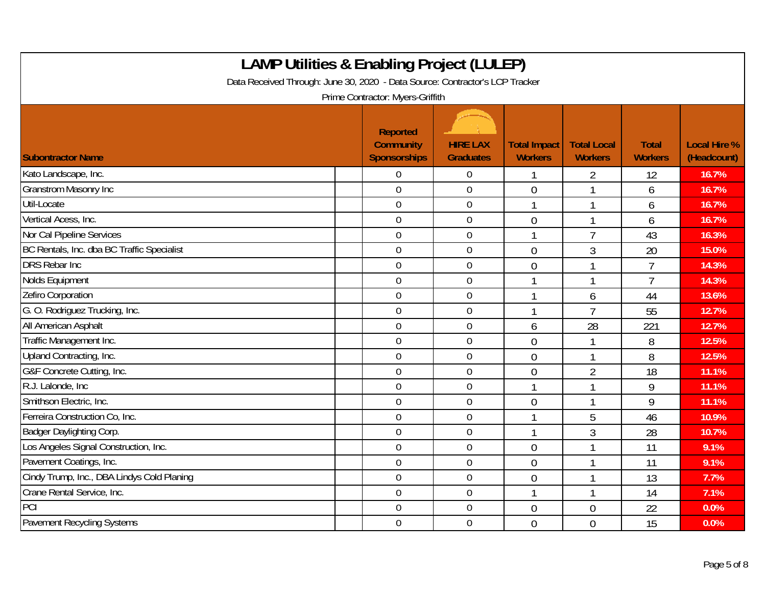| <b>LAMP Utilities &amp; Enabling Project (LULEP)</b><br>Data Received Through: June 30, 2020 - Data Source: Contractor's LCP Tracker<br>Prime Contractor: Myers-Griffith |                                                     |                                     |                                       |                                      |                                |                                    |  |  |  |
|--------------------------------------------------------------------------------------------------------------------------------------------------------------------------|-----------------------------------------------------|-------------------------------------|---------------------------------------|--------------------------------------|--------------------------------|------------------------------------|--|--|--|
| <b>Subontractor Name</b>                                                                                                                                                 | Reported<br><b>Community</b><br><b>Sponsorships</b> | <b>HIRE LAX</b><br><b>Graduates</b> | <b>Total Impact</b><br><b>Workers</b> | <b>Total Local</b><br><b>Workers</b> | <b>Total</b><br><b>Workers</b> | <b>Local Hire %</b><br>(Headcount) |  |  |  |
| Kato Landscape, Inc.                                                                                                                                                     | 0                                                   | $\boldsymbol{0}$                    |                                       | 2                                    | 12                             | 16.7%                              |  |  |  |
| <b>Granstrom Masonry Inc</b>                                                                                                                                             | $\mathbf 0$                                         | $\mathbf 0$                         | $\overline{0}$                        |                                      | 6                              | 16.7%                              |  |  |  |
| Util-Locate                                                                                                                                                              | $\mathbf 0$                                         | $\boldsymbol{0}$                    | 1                                     | 1                                    | 6                              | 16.7%                              |  |  |  |
| Vertical Acess, Inc.                                                                                                                                                     | $\overline{0}$                                      | $\boldsymbol{0}$                    | $\overline{0}$                        | $\mathbf{1}$                         | 6                              | 16.7%                              |  |  |  |
| Nor Cal Pipeline Services                                                                                                                                                | $\overline{0}$                                      | $\mathbf 0$                         |                                       | $\overline{7}$                       | 43                             | 16.3%                              |  |  |  |
| BC Rentals, Inc. dba BC Traffic Specialist                                                                                                                               | $\overline{0}$                                      | $\mathbf 0$                         | $\theta$                              | $\overline{3}$                       | 20                             | 15.0%                              |  |  |  |
| <b>DRS Rebar Inc.</b>                                                                                                                                                    | $\mathbf 0$                                         | $\mathbf 0$                         | $\overline{0}$                        | $\mathbf{1}$                         | $\overline{7}$                 | 14.3%                              |  |  |  |
| Nolds Equipment                                                                                                                                                          | $\mathbf 0$                                         | $\mathbf 0$                         |                                       | 1                                    | $\overline{1}$                 | 14.3%                              |  |  |  |
| Zefiro Corporation                                                                                                                                                       | $\mathbf 0$                                         | $\overline{0}$                      |                                       | 6                                    | 44                             | 13.6%                              |  |  |  |
| G. O. Rodriguez Trucking, Inc.                                                                                                                                           | $\mathbf 0$                                         | $\mathbf 0$                         |                                       | $\overline{7}$                       | 55                             | 12.7%                              |  |  |  |
| All American Asphalt                                                                                                                                                     | $\overline{0}$                                      | $\mathbf 0$                         | 6                                     | 28                                   | 221                            | 12.7%                              |  |  |  |
| Traffic Management Inc.                                                                                                                                                  | $\overline{0}$                                      | $\boldsymbol{0}$                    | $\overline{0}$                        |                                      | 8                              | 12.5%                              |  |  |  |
| Upland Contracting, Inc.                                                                                                                                                 | $\mathbf 0$                                         | $\mathbf 0$                         | $\overline{0}$                        | $\overline{\phantom{a}}$             | 8                              | 12.5%                              |  |  |  |
| G&F Concrete Cutting, Inc.                                                                                                                                               | $\overline{0}$                                      | $\mathbf 0$                         | $\mathbf 0$                           | $\overline{2}$                       | 18                             | 11.1%                              |  |  |  |
| R.J. Lalonde, Inc.                                                                                                                                                       | $\mathbf 0$                                         | $\boldsymbol{0}$                    |                                       | 1                                    | 9                              | 11.1%                              |  |  |  |
| Smithson Electric, Inc.                                                                                                                                                  | $\mathbf 0$                                         | $\mathbf 0$                         | $\overline{0}$                        | $\mathbf{1}$                         | 9                              | 11.1%                              |  |  |  |
| Ferreira Construction Co, Inc.                                                                                                                                           | $\overline{0}$                                      | $\overline{0}$                      |                                       | 5                                    | 46                             | 10.9%                              |  |  |  |
| Badger Daylighting Corp.                                                                                                                                                 | $\mathbf 0$                                         | $\mathbf 0$                         |                                       | $\mathfrak{Z}$                       | 28                             | 10.7%                              |  |  |  |
| Los Angeles Signal Construction, Inc.                                                                                                                                    | $\overline{0}$                                      | $\overline{0}$                      | $\overline{0}$                        | $\overline{1}$                       | 11                             | 9.1%                               |  |  |  |
| Pavement Coatings, Inc.                                                                                                                                                  | $\overline{0}$                                      | $\boldsymbol{0}$                    | $\overline{0}$                        | 1                                    | 11                             | 9.1%                               |  |  |  |
| Cindy Trump, Inc., DBA Lindys Cold Planing                                                                                                                               | $\mathbf 0$                                         | $\overline{0}$                      | $\overline{0}$                        |                                      | 13                             | 7.7%                               |  |  |  |
| Crane Rental Service, Inc.                                                                                                                                               | $\overline{0}$                                      | $\overline{0}$                      | 1                                     | $\overline{1}$                       | 14                             | 7.1%                               |  |  |  |
| PCI                                                                                                                                                                      | 0                                                   | $\boldsymbol{0}$                    | $\overline{0}$                        | $\overline{0}$                       | 22                             | 0.0%                               |  |  |  |
| <b>Pavement Recycling Systems</b>                                                                                                                                        | $\overline{0}$                                      | $\mathbf 0$                         | $\theta$                              | $\overline{0}$                       | 15                             | 0.0%                               |  |  |  |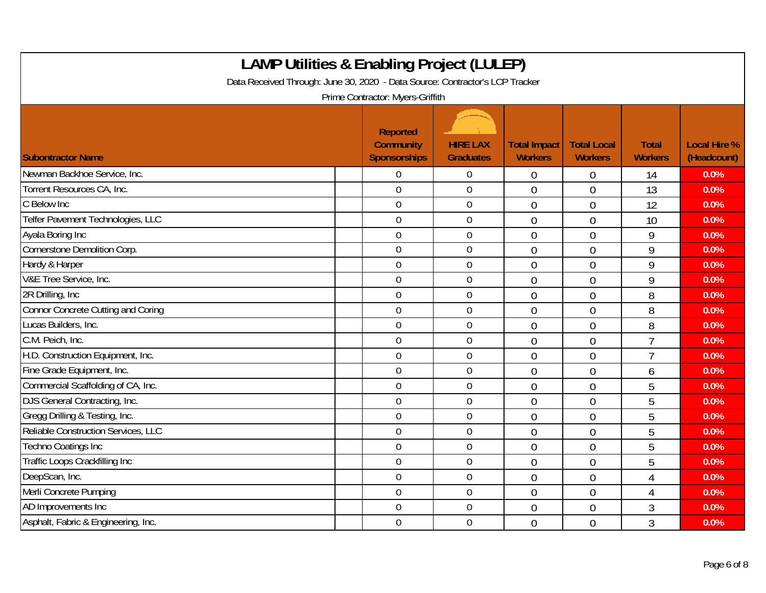| <b>LAMP Utilities &amp; Enabling Project (LULEP)</b><br>Data Received Through: June 30, 2020 - Data Source: Contractor's LCP Tracker<br>Prime Contractor: Myers-Griffith |  |                                                     |                                     |                                       |                                      |                                |                                    |  |  |
|--------------------------------------------------------------------------------------------------------------------------------------------------------------------------|--|-----------------------------------------------------|-------------------------------------|---------------------------------------|--------------------------------------|--------------------------------|------------------------------------|--|--|
| <b>Subontractor Name</b>                                                                                                                                                 |  | Reported<br><b>Community</b><br><b>Sponsorships</b> | <b>HIRE LAX</b><br><b>Graduates</b> | <b>Total Impact</b><br><b>Workers</b> | <b>Total Local</b><br><b>Workers</b> | <b>Total</b><br><b>Workers</b> | <b>Local Hire %</b><br>(Headcount) |  |  |
| Newman Backhoe Service, Inc.                                                                                                                                             |  | 0                                                   | $\overline{0}$                      | 0                                     | $\overline{0}$                       | 14                             | 0.0%                               |  |  |
| Torrent Resources CA, Inc.                                                                                                                                               |  | $\overline{0}$                                      | $\overline{0}$                      | $\overline{0}$                        | $\overline{0}$                       | 13                             | 0.0%                               |  |  |
| C Below Inc                                                                                                                                                              |  | $\overline{0}$                                      | $\overline{0}$                      | $\overline{0}$                        | $\theta$                             | 12                             | 0.0%                               |  |  |
| Telfer Pavement Technologies, LLC                                                                                                                                        |  | $\mathbf 0$                                         | $\boldsymbol{0}$                    | $\overline{0}$                        | $\overline{0}$                       | 10                             | 0.0%                               |  |  |
| Ayala Boring Inc                                                                                                                                                         |  | $\mathbf 0$                                         | $\mathbf 0$                         | $\overline{0}$                        | $\overline{0}$                       | 9                              | 0.0%                               |  |  |
| Cornerstone Demolition Corp.                                                                                                                                             |  | $\mathbf 0$                                         | $\mathbf 0$                         | $\overline{0}$                        | $\theta$                             | 9                              | 0.0%                               |  |  |
| Hardy & Harper                                                                                                                                                           |  | $\mathbf 0$                                         | $\mathbf 0$                         | $\overline{0}$                        | $\overline{0}$                       | 9                              | 0.0%                               |  |  |
| V&E Tree Service, Inc.                                                                                                                                                   |  | $\overline{0}$                                      | $\mathbf 0$                         | $\overline{0}$                        | $\overline{0}$                       | 9                              | 0.0%                               |  |  |
| 2R Drilling, Inc.                                                                                                                                                        |  | $\overline{0}$                                      | $\boldsymbol{0}$                    | $\overline{0}$                        | $\overline{0}$                       | 8                              | 0.0%                               |  |  |
| <b>Connor Concrete Cutting and Coring</b>                                                                                                                                |  | $\boldsymbol{0}$                                    | $\mathbf 0$                         | $\overline{0}$                        | $\overline{0}$                       | 8                              | 0.0%                               |  |  |
| Lucas Builders, Inc.                                                                                                                                                     |  | $\overline{0}$                                      | $\mathbf 0$                         | $\overline{0}$                        | $\theta$                             | 8                              | 0.0%                               |  |  |
| C.M. Peich, Inc.                                                                                                                                                         |  | $\overline{0}$                                      | $\mathbf 0$                         | $\overline{0}$                        | $\theta$                             | $\overline{7}$                 | 0.0%                               |  |  |
| H.D. Construction Equipment, Inc.                                                                                                                                        |  | $\overline{0}$                                      | $\mathbf 0$                         | $\overline{0}$                        | $\overline{0}$                       | $\overline{7}$                 | 0.0%                               |  |  |
| Fine Grade Equipment, Inc.                                                                                                                                               |  | $\mathbf 0$                                         | $\boldsymbol{0}$                    | $\overline{0}$                        | $\mathbf 0$                          | 6                              | 0.0%                               |  |  |
| Commercial Scaffolding of CA, Inc.                                                                                                                                       |  | $\mathbf 0$                                         | $\overline{0}$                      | $\overline{0}$                        | $\overline{0}$                       | 5                              | 0.0%                               |  |  |
| DJS General Contracting, Inc.                                                                                                                                            |  | $\mathbf 0$                                         | $\mathbf 0$                         | $\overline{0}$                        | $\overline{0}$                       | 5                              | 0.0%                               |  |  |
| Gregg Drilling & Testing, Inc.                                                                                                                                           |  | $\overline{0}$                                      | $\mathbf 0$                         | $\overline{0}$                        | $\overline{0}$                       | 5                              | 0.0%                               |  |  |
| Reliable Construction Services, LLC                                                                                                                                      |  | $\overline{0}$                                      | $\overline{0}$                      | $\overline{0}$                        | $\overline{0}$                       | 5                              | 0.0%                               |  |  |
| <b>Techno Coatings Inc</b>                                                                                                                                               |  | $\mathbf 0$                                         | $\mathbf 0$                         | $\overline{0}$                        | $\overline{0}$                       | 5                              | 0.0%                               |  |  |
| Traffic Loops Crackfilling Inc                                                                                                                                           |  | $\overline{0}$                                      | $\boldsymbol{0}$                    | $\overline{0}$                        | $\overline{0}$                       | 5                              | 0.0%                               |  |  |
| DeepScan, Inc.                                                                                                                                                           |  | $\overline{0}$                                      | $\overline{0}$                      | $\overline{0}$                        | $\overline{0}$                       | 4                              | 0.0%                               |  |  |
| Merli Concrete Pumping                                                                                                                                                   |  | $\overline{0}$                                      | $\overline{0}$                      | $\overline{0}$                        | $\overline{0}$                       | 4                              | 0.0%                               |  |  |
| AD Improvements Inc                                                                                                                                                      |  | $\boldsymbol{0}$                                    | $\boldsymbol{0}$                    | $\overline{0}$                        | $\overline{0}$                       | 3                              | 0.0%                               |  |  |
| Asphalt, Fabric & Engineering, Inc.                                                                                                                                      |  | $\overline{0}$                                      | $\mathbf 0$                         | $\overline{0}$                        | $\overline{0}$                       | 3                              | 0.0%                               |  |  |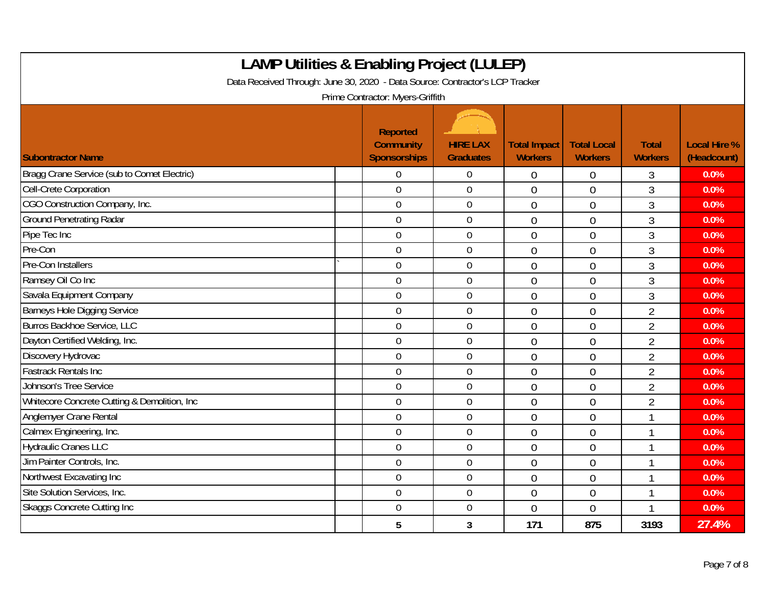| <b>LAMP Utilities &amp; Enabling Project (LULEP)</b><br>Data Received Through: June 30, 2020 - Data Source: Contractor's LCP Tracker<br>Prime Contractor: Myers-Griffith |  |                                                            |                                     |                                       |                                      |                                |                                    |  |  |
|--------------------------------------------------------------------------------------------------------------------------------------------------------------------------|--|------------------------------------------------------------|-------------------------------------|---------------------------------------|--------------------------------------|--------------------------------|------------------------------------|--|--|
| <b>Subontractor Name</b>                                                                                                                                                 |  | <b>Reported</b><br><b>Community</b><br><b>Sponsorships</b> | <b>HIRE LAX</b><br><b>Graduates</b> | <b>Total Impact</b><br><b>Workers</b> | <b>Total Local</b><br><b>Workers</b> | <b>Total</b><br><b>Workers</b> | <b>Local Hire %</b><br>(Headcount) |  |  |
| Bragg Crane Service (sub to Comet Electric)                                                                                                                              |  | $\Omega$                                                   | $\overline{0}$                      | $\overline{0}$                        | $\overline{0}$                       | 3                              | 0.0%                               |  |  |
| Cell-Crete Corporation                                                                                                                                                   |  | $\mathbf 0$                                                | $\mathbf 0$                         | $\overline{0}$                        | $\overline{0}$                       | 3                              | 0.0%                               |  |  |
| CGO Construction Company, Inc.                                                                                                                                           |  | $\overline{0}$                                             | $\mathbf 0$                         | $\overline{0}$                        | $\overline{0}$                       | 3                              | 0.0%                               |  |  |
| <b>Ground Penetrating Radar</b>                                                                                                                                          |  | $\mathbf 0$                                                | $\boldsymbol{0}$                    | $\overline{0}$                        | $\overline{0}$                       | 3                              | 0.0%                               |  |  |
| Pipe Tec Inc                                                                                                                                                             |  | $\mathbf 0$                                                | $\mathbf 0$                         | $\overline{0}$                        | $\overline{0}$                       | 3                              | 0.0%                               |  |  |
| Pre-Con                                                                                                                                                                  |  | $\mathbf 0$                                                | $\mathbf 0$                         | $\overline{0}$                        | $\overline{0}$                       | 3                              | 0.0%                               |  |  |
| Pre-Con Installers                                                                                                                                                       |  | $\overline{0}$                                             | $\mathbf 0$                         | $\overline{0}$                        | $\theta$                             | 3                              | 0.0%                               |  |  |
| Ramsey Oil Co Inc                                                                                                                                                        |  | $\mathbf 0$                                                | $\mathbf 0$                         | $\overline{0}$                        | $\overline{0}$                       | 3                              | 0.0%                               |  |  |
| Savala Equipment Company                                                                                                                                                 |  | $\overline{0}$                                             | $\mathbf 0$                         | $\overline{0}$                        | $\overline{0}$                       | 3                              | 0.0%                               |  |  |
| Barneys Hole Digging Service                                                                                                                                             |  | $\mathbf 0$                                                | $\boldsymbol{0}$                    | $\overline{0}$                        | $\overline{0}$                       | $\overline{2}$                 | 0.0%                               |  |  |
| <b>Burros Backhoe Service, LLC</b>                                                                                                                                       |  | $\mathbf 0$                                                | $\mathbf 0$                         | $\overline{0}$                        | $\overline{0}$                       | $\overline{2}$                 | 0.0%                               |  |  |
| Dayton Certified Welding, Inc.                                                                                                                                           |  | $\mathbf 0$                                                | $\mathbf 0$                         | $\overline{0}$                        | $\overline{0}$                       | $\overline{2}$                 | 0.0%                               |  |  |
| Discovery Hydrovac                                                                                                                                                       |  | $\overline{0}$                                             | $\mathbf 0$                         | $\overline{0}$                        | $\theta$                             | $\overline{2}$                 | 0.0%                               |  |  |
| <b>Fastrack Rentals Inc</b>                                                                                                                                              |  | $\mathbf 0$                                                | $\mathbf 0$                         | $\overline{0}$                        | $\overline{0}$                       | $\overline{2}$                 | 0.0%                               |  |  |
| Johnson's Tree Service                                                                                                                                                   |  | $\overline{0}$                                             | $\mathbf 0$                         | $\overline{0}$                        | $\overline{0}$                       | $\overline{2}$                 | 0.0%                               |  |  |
| Whitecore Concrete Cutting & Demolition, Inc.                                                                                                                            |  | $\mathbf 0$                                                | $\boldsymbol{0}$                    | $\overline{0}$                        | $\overline{0}$                       | $\overline{2}$                 | 0.0%                               |  |  |
| <b>Anglemyer Crane Rental</b>                                                                                                                                            |  | $\mathbf 0$                                                | $\mathbf 0$                         | $\overline{0}$                        | $\overline{0}$                       | 1                              | 0.0%                               |  |  |
| Calmex Engineering, Inc.                                                                                                                                                 |  | $\mathbf 0$                                                | $\mathbf 0$                         | $\overline{0}$                        | $\overline{0}$                       |                                | 0.0%                               |  |  |
| <b>Hydraulic Cranes LLC</b>                                                                                                                                              |  | $\overline{0}$                                             | $\overline{0}$                      | $\overline{0}$                        | $\theta$                             |                                | 0.0%                               |  |  |
| Jim Painter Controls, Inc.                                                                                                                                               |  | $\mathbf 0$                                                | $\mathbf 0$                         | $\overline{0}$                        | $\overline{0}$                       | $\mathbf 1$                    | 0.0%                               |  |  |
| Northwest Excavating Inc                                                                                                                                                 |  | $\overline{0}$                                             | $\overline{0}$                      | $\overline{0}$                        | $\overline{0}$                       |                                | 0.0%                               |  |  |
| Site Solution Services, Inc.                                                                                                                                             |  | $\mathbf 0$                                                | $\boldsymbol{0}$                    | $\overline{0}$                        | $\mathbf 0$                          |                                | 0.0%                               |  |  |
| <b>Skaggs Concrete Cutting Inc.</b>                                                                                                                                      |  | $\overline{0}$                                             | $\mathbf 0$                         | $\overline{0}$                        | $\overline{0}$                       | $\overline{\phantom{a}}$       | 0.0%                               |  |  |
|                                                                                                                                                                          |  | 5                                                          | 3                                   | 171                                   | 875                                  | 3193                           | 27.4%                              |  |  |